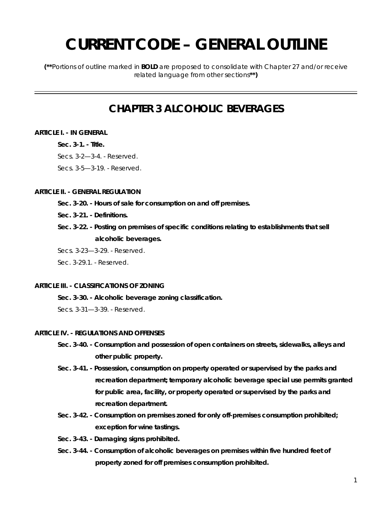# **CURRENT CODE – GENERAL OUTLINE**

**(\*\***Portions of outline marked in **BOLD** are proposed to consolidate with Chapter 27 and/or receive related language from other sections**\*\*)** 

### **CHAPTER 3 ALCOHOLIC BEVERAGES**

### **ARTICLE I. - IN GENERAL**

**Sec. 3-1. - Title.** 

Secs. 3-2—3-4. - Reserved.

Secs. 3-5—3-19. - Reserved.

### **ARTICLE II. - GENERAL REGULATION**

- **Sec. 3-20. Hours of sale for consumption on and off premises.**
- **Sec. 3-21. Definitions.**
- **Sec. 3-22. Posting on premises of specific conditions relating to establishments that sell alcoholic beverages.**
- Secs. 3-23—3-29. Reserved.

Sec. 3-29.1 - Reserved.

### **ARTICLE III. - CLASSIFICATIONS OF ZONING**

**Sec. 3-30. - Alcoholic beverage zoning classification.** 

Secs. 3-31—3-39. - Reserved.

### **ARTICLE IV. - REGULATIONS AND OFFENSES**

- **Sec. 3-40. Consumption and possession of open containers on streets, sidewalks, alleys and other public property.**
- **Sec. 3-41. Possession, consumption on property operated or supervised by the parks and recreation department; temporary alcoholic beverage special use permits granted for public area, facility, or property operated or supervised by the parks and recreation department.**
- **Sec. 3-42. Consumption on premises zoned for only off-premises consumption prohibited; exception for wine tastings.**
- **Sec. 3-43. Damaging signs prohibited.**
- **Sec. 3-44. Consumption of alcoholic beverages on premises within five hundred feet of property zoned for off premises consumption prohibited.**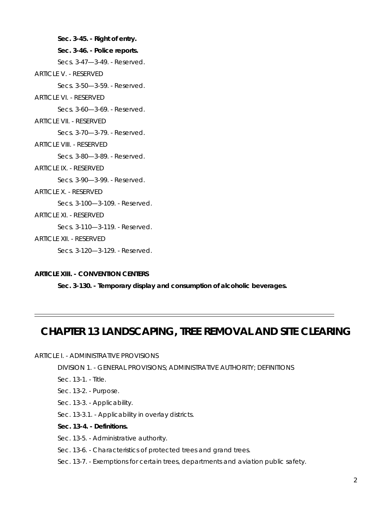**Sec. 3-45. - Right of entry.** 

#### **Sec. 3-46. - Police reports.**

Secs. 3-47—3-49. - Reserved.

ARTICLE V. - RESERVED

Secs. 3-50—3-59. - Reserved.

ARTICLE VI. - RESERVED

Secs. 3-60—3-69. - Reserved.

ARTICLE VII. - RESERVED

Secs. 3-70—3-79. - Reserved.

ARTICLE VIII. - RESERVED

Secs. 3-80—3-89. - Reserved.

ARTICLE IX. - RESERVED

Secs. 3-90—3-99. - Reserved.

ARTICLE X. - RESERVED

Secs. 3-100—3-109. - Reserved.

ARTICLE XI. - RESERVED

Secs. 3-110—3-119. - Reserved.

ARTICLE XII. - RESERVED

Secs. 3-120—3-129. - Reserved.

### **ARTICLE XIII. - CONVENTION CENTERS**

**Sec. 3-130. - Temporary display and consumption of alcoholic beverages.** 

### **CHAPTER 13 LANDSCAPING, TREE REMOVAL AND SITE CLEARING**

### ARTICLE I. - ADMINISTRATIVE PROVISIONS

DIVISION 1. - GENERAL PROVISIONS; ADMINISTRATIVE AUTHORITY; DEFINITIONS

Sec. 13-1. - Title.

- Sec. 13-2. Purpose.
- Sec. 13-3. Applicability.
- Sec. 13-3.1. Applicability in overlay districts.
- **Sec. 13-4. Definitions.**

Sec. 13-5. - Administrative authority.

- Sec. 13-6. Characteristics of protected trees and grand trees.
- Sec. 13-7. Exemptions for certain trees, departments and aviation public safety.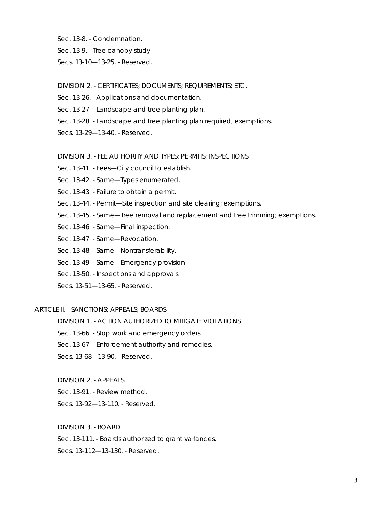- Sec. 13-8. Condemnation.
- Sec. 13-9. Tree canopy study.
- Secs. 13-10—13-25. Reserved.

### DIVISION 2. - CERTIFICATES; DOCUMENTS; REQUIREMENTS; ETC.

- Sec. 13-26. Applications and documentation.
- Sec. 13-27. Landscape and tree planting plan.
- Sec. 13-28. Landscape and tree planting plan required; exemptions.
- Secs. 13-29—13-40. Reserved.

### DIVISION 3. - FEE AUTHORITY AND TYPES; PERMITS; INSPECTIONS

- Sec. 13-41. Fees—City council to establish.
- Sec. 13-42. Same—Types enumerated.
- Sec. 13-43. Failure to obtain a permit.
- Sec. 13-44. Permit—Site inspection and site clearing; exemptions.
- Sec. 13-45. Same—Tree removal and replacement and tree trimming; exemptions.
- Sec. 13-46. Same—Final inspection.
- Sec. 13-47. Same—Revocation.
- Sec. 13-48. Same—Nontransferability.
- Sec. 13-49. Same—Emergency provision.
- Sec. 13-50. Inspections and approvals.
- Secs. 13-51—13-65. Reserved.

### ARTICLE II. - SANCTIONS; APPEALS; BOARDS

DIVISION 1. - ACTION AUTHORIZED TO MITIGATE VIOLATIONS

Sec. 13-66. - Stop work and emergency orders.

- Sec. 13-67. Enforcement authority and remedies.
- Secs. 13-68—13-90. Reserved.
- DIVISION 2. APPEALS

Sec. 13-91. - Review method.

Secs. 13-92—13-110. - Reserved.

DIVISION 3. - BOARD

Sec. 13-111. - Boards authorized to grant variances.

Secs. 13-112—13-130. - Reserved.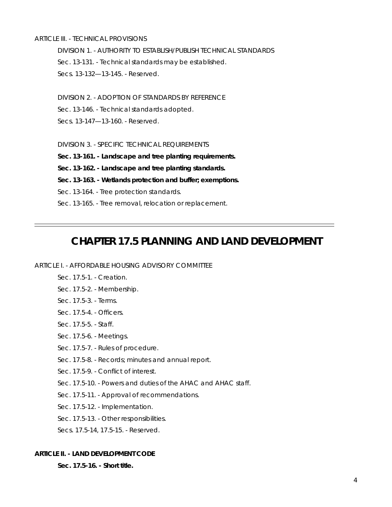### ARTICLE III. - TECHNICAL PROVISIONS

DIVISION 1. - AUTHORITY TO ESTABLISH/PUBLISH TECHNICAL STANDARDS Sec. 13-131. - Technical standards may be established. Secs. 13-132—13-145. - Reserved.

DIVISION 2. - ADOPTION OF STANDARDS BY REFERENCE

Sec. 13-146. - Technical standards adopted.

Secs. 13-147—13-160. - Reserved.

DIVISION 3. - SPECIFIC TECHNICAL REQUIREMENTS

**Sec. 13-161. - Landscape and tree planting requirements.** 

**Sec. 13-162. - Landscape and tree planting standards.** 

**Sec. 13-163. - Wetlands protection and buffer; exemptions.** 

Sec. 13-164. - Tree protection standards.

Sec. 13-165. - Tree removal, relocation or replacement.

### **CHAPTER 17.5 PLANNING AND LAND DEVELOPMENT**

### ARTICLE I. - AFFORDABLE HOUSING ADVISORY COMMITTEE

- Sec. 17.5-1. Creation.
- Sec. 17.5-2. Membership.
- Sec. 17.5-3. Terms.
- Sec. 17.5-4. Officers.
- Sec. 17.5-5. Staff.
- Sec. 17.5-6. Meetings.
- Sec. 17.5-7. Rules of procedure.
- Sec. 17.5-8. Records; minutes and annual report.
- Sec. 17.5-9. Conflict of interest.
- Sec. 17.5-10. Powers and duties of the AHAC and AHAC staff.
- Sec. 17.5-11. Approval of recommendations.
- Sec. 17.5-12. Implementation.
- Sec. 17.5-13. Other responsibilities.
- Secs. 17.5-14, 17.5-15. Reserved.

### **ARTICLE II. - LAND DEVELOPMENT CODE**

**Sec. 17.5-16. - Short title.**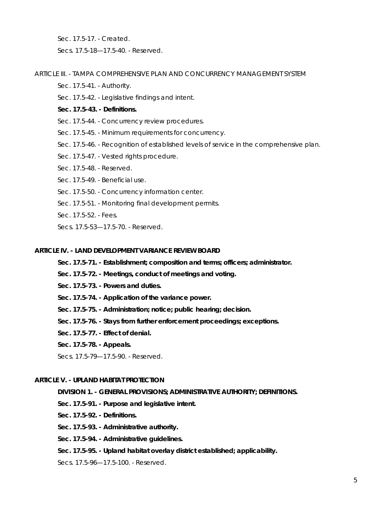Sec. 17.5-17. - Created.

Secs. 17.5-18—17.5-40. - Reserved.

### ARTICLE III. - TAMPA COMPREHENSIVE PLAN AND CONCURRENCY MANAGEMENT SYSTEM

- Sec. 17.5-41. Authority.
- Sec. 17.5-42. Legislative findings and intent.
- **Sec. 17.5-43. Definitions.**
- Sec. 17.5-44. Concurrency review procedures.
- Sec. 17.5-45. Minimum requirements for concurrency.
- Sec. 17.5-46. Recognition of established levels of service in the comprehensive plan.
- Sec. 17.5-47. Vested rights procedure.
- Sec. 17.5-48. Reserved.
- Sec. 17.5-49. Beneficial use.
- Sec. 17.5-50. Concurrency information center.
- Sec. 17.5-51. Monitoring final development permits.
- Sec. 17.5-52. Fees.
- Secs. 17.5-53—17.5-70. Reserved.

### **ARTICLE IV. - LAND DEVELOPMENT VARIANCE REVIEW BOARD**

- **Sec. 17.5-71. Establishment; composition and terms; officers; administrator.**
- **Sec. 17.5-72. Meetings, conduct of meetings and voting.**
- **Sec. 17.5-73. Powers and duties.**
- **Sec. 17.5-74. Application of the variance power.**
- **Sec. 17.5-75. Administration; notice; public hearing; decision.**
- **Sec. 17.5-76. Stays from further enforcement proceedings; exceptions.**
- **Sec. 17.5-77. Effect of denial.**
- **Sec. 17.5-78. Appeals.**

Secs. 17.5-79—17.5-90. - Reserved.

### **ARTICLE V. - UPLAND HABITAT PROTECTION**

### **DIVISION 1. - GENERAL PROVISIONS; ADMINISTRATIVE AUTHORITY; DEFINITIONS.**

- **Sec. 17.5-91. Purpose and legislative intent.**
- **Sec. 17.5-92. Definitions.**
- **Sec. 17.5-93. Administrative authority.**
- **Sec. 17.5-94. Administrative guidelines.**
- **Sec. 17.5-95. Upland habitat overlay district established; applicability.**
- Secs. 17.5-96—17.5-100. Reserved.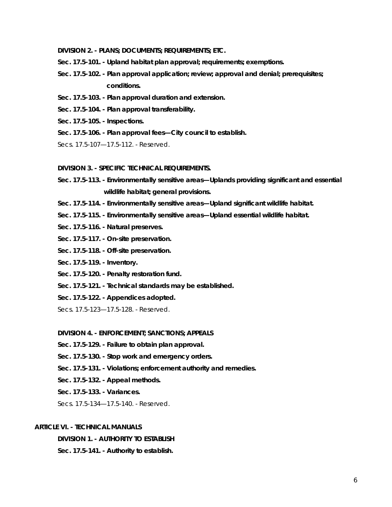- **DIVISION 2. PLANS; DOCUMENTS; REQUIREMENTS; ETC.**
- **Sec. 17.5-101. Upland habitat plan approval; requirements; exemptions.**
- **Sec. 17.5-102. Plan approval application; review; approval and denial; prerequisites; conditions.**
- **Sec. 17.5-103. Plan approval duration and extension.**
- **Sec. 17.5-104. Plan approval transferability.**
- **Sec. 17.5-105. Inspections.**
- **Sec. 17.5-106. Plan approval fees—City council to establish.**
- Secs. 17.5-107—17.5-112. Reserved.

### **DIVISION 3. - SPECIFIC TECHNICAL REQUIREMENTS.**

- **Sec. 17.5-113. Environmentally sensitive areas—Uplands providing significant and essential wildlife habitat; general provisions.**
- **Sec. 17.5-114. Environmentally sensitive areas—Upland significant wildlife habitat.**
- **Sec. 17.5-115. Environmentally sensitive areas—Upland essential wildlife habitat.**
- **Sec. 17.5-116. Natural preserves.**
- **Sec. 17.5-117. On-site preservation.**
- **Sec. 17.5-118. Off-site preservation.**
- **Sec. 17.5-119. Inventory.**
- **Sec. 17.5-120. Penalty restoration fund.**
- **Sec. 17.5-121. Technical standards may be established.**
- **Sec. 17.5-122. Appendices adopted.**

Secs. 17.5-123—17.5-128. - Reserved.

#### **DIVISION 4. - ENFORCEMENT; SANCTIONS; APPEALS**

- **Sec. 17.5-129. Failure to obtain plan approval.**
- **Sec. 17.5-130. Stop work and emergency orders.**
- **Sec. 17.5-131. Violations; enforcement authority and remedies.**
- **Sec. 17.5-132. Appeal methods.**
- **Sec. 17.5-133. Variances.**

Secs. 17.5-134—17.5-140. - Reserved.

### **ARTICLE VI. - TECHNICAL MANUALS**

**DIVISION 1. - AUTHORITY TO ESTABLISH** 

**Sec. 17.5-141. - Authority to establish.**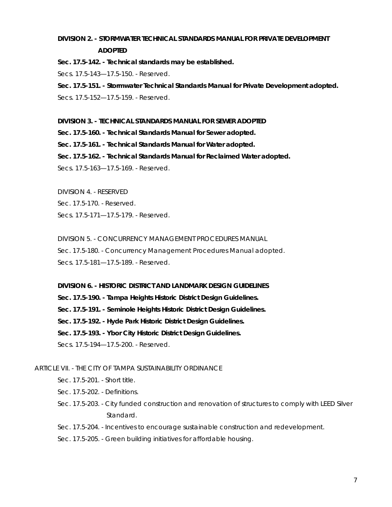### **DIVISION 2. - STORMWATER TECHNICAL STANDARDS MANUAL FOR PRIVATE DEVELOPMENT ADOPTED**

**Sec. 17.5-142. - Technical standards may be established.** 

Secs. 17.5-143—17.5-150. - Reserved.

**Sec. 17.5-151. - Stormwater Technical Standards Manual for Private Development adopted.**  Secs. 17.5-152—17.5-159. - Reserved.

### **DIVISION 3. - TECHNICAL STANDARDS MANUAL FOR SEWER ADOPTED**

**Sec. 17.5-160. - Technical Standards Manual for Sewer adopted.** 

**Sec. 17.5-161. - Technical Standards Manual for Water adopted.** 

**Sec. 17.5-162. - Technical Standards Manual for Reclaimed Water adopted.** 

Secs. 17.5-163—17.5-169. - Reserved.

DIVISION 4. - RESERVED

Sec. 17.5-170. - Reserved.

Secs. 17.5-171—17.5-179. - Reserved.

DIVISION 5. - CONCURRENCY MANAGEMENT PROCEDURES MANUAL Sec. 17.5-180. - Concurrency Management Procedures Manual adopted. Secs. 17.5-181—17.5-189. - Reserved.

### **DIVISION 6. - HISTORIC DISTRICT AND LANDMARK DESIGN GUIDELINES**

**Sec. 17.5-190. - Tampa Heights Historic District Design Guidelines.** 

**Sec. 17.5-191. - Seminole Heights Historic District Design Guidelines.** 

**Sec. 17.5-192. - Hyde Park Historic District Design Guidelines.** 

**Sec. 17.5-193. - Ybor City Historic District Design Guidelines.** 

Secs. 17.5-194—17.5-200. - Reserved.

### ARTICLE VII. - THE CITY OF TAMPA SUSTAINABILITY ORDINANCE

Sec. 17.5-201. - Short title.

Sec. 17.5-202. - Definitions.

Sec. 17.5-203. - City funded construction and renovation of structures to comply with LEED Silver Standard.

Sec. 17.5-204. - Incentives to encourage sustainable construction and redevelopment.

Sec. 17.5-205. - Green building initiatives for affordable housing.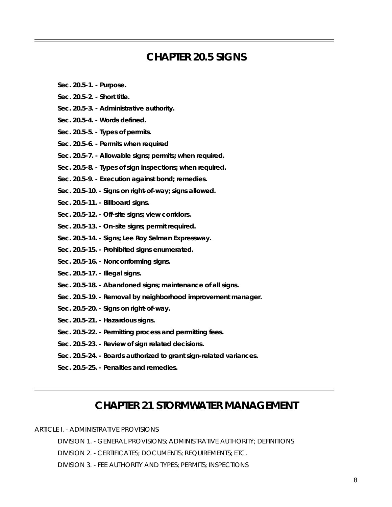### **CHAPTER 20.5 SIGNS**

- **Sec. 20.5-1. Purpose.**
- **Sec. 20.5-2. Short title.**
- **Sec. 20.5-3. Administrative authority.**
- **Sec. 20.5-4. Words defined.**
- **Sec. 20.5-5. Types of permits.**
- **Sec. 20.5-6. Permits when required**
- **Sec. 20.5-7. Allowable signs; permits; when required.**
- **Sec. 20.5-8. Types of sign inspections; when required.**
- **Sec. 20.5-9. Execution against bond; remedies.**
- **Sec. 20.5-10. Signs on right-of-way; signs allowed.**
- **Sec. 20.5-11. Billboard signs.**
- **Sec. 20.5-12. Off-site signs; view corridors.**
- **Sec. 20.5-13. On-site signs; permit required.**
- **Sec. 20.5-14. Signs; Lee Roy Selman Expressway.**
- **Sec. 20.5-15. Prohibited signs enumerated.**
- **Sec. 20.5-16. Nonconforming signs.**
- **Sec. 20.5-17. Illegal signs.**
- **Sec. 20.5-18. Abandoned signs; maintenance of all signs.**
- **Sec. 20.5-19. Removal by neighborhood improvement manager.**
- **Sec. 20.5-20. Signs on right-of-way.**
- **Sec. 20.5-21. Hazardous signs.**
- **Sec. 20.5-22. Permitting process and permitting fees.**
- **Sec. 20.5-23. Review of sign related decisions.**
- **Sec. 20.5-24. Boards authorized to grant sign-related variances.**
- **Sec. 20.5-25. Penalties and remedies.**

### **CHAPTER 21 STORMWATER MANAGEMENT**

ARTICLE I. - ADMINISTRATIVE PROVISIONS

DIVISION 1. - GENERAL PROVISIONS; ADMINISTRATIVE AUTHORITY; DEFINITIONS

DIVISION 2. - CERTIFICATES; DOCUMENTS; REQUIREMENTS; ETC.

DIVISION 3. - FEE AUTHORITY AND TYPES; PERMITS; INSPECTIONS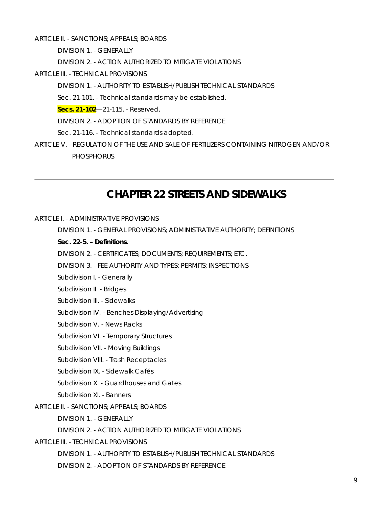ARTICLE II. - SANCTIONS; APPEALS; BOARDS

DIVISION 1. - GENERALLY

DIVISION 2. - ACTION AUTHORIZED TO MITIGATE VIOLATIONS

ARTICLE III. - TECHNICAL PROVISIONS

DIVISION 1. - AUTHORITY TO ESTABLISH/PUBLISH TECHNICAL STANDARDS

Sec. 21-101. - Technical standards may be established.

**Secs. 21-102**—21-115. - Reserved.

DIVISION 2. - ADOPTION OF STANDARDS BY REFERENCE

Sec. 21-116. - Technical standards adopted.

ARTICLE V. - REGULATION OF THE USE AND SALE OF FERTILIZERS CONTAINING NITROGEN AND/OR **PHOSPHORUS** 

### **CHAPTER 22 STREETS AND SIDEWALKS**

### ARTICLE I. - ADMINISTRATIVE PROVISIONS

DIVISION 1. - GENERAL PROVISIONS; ADMINISTRATIVE AUTHORITY; DEFINITIONS

**Sec. 22-5. – Definitions.** 

DIVISION 2. - CERTIFICATES; DOCUMENTS; REQUIREMENTS; ETC.

DIVISION 3. - FEE AUTHORITY AND TYPES; PERMITS; INSPECTIONS

Subdivision I. - Generally

Subdivision II. - Bridges

Subdivision III. - Sidewalks

Subdivision IV. - Benches Displaying/Advertising

Subdivision V. - News Racks

Subdivision VI. - Temporary Structures

Subdivision VII. - Moving Buildings

Subdivision VIII. - Trash Receptacles

Subdivision IX. - Sidewalk Cafés

Subdivision X. - Guardhouses and Gates

Subdivision XI. - Banners

### ARTICLE II. - SANCTIONS; APPEALS; BOARDS

DIVISION 1. - GENERALLY

DIVISION 2. - ACTION AUTHORIZED TO MITIGATE VIOLATIONS

ARTICLE III. - TECHNICAL PROVISIONS

DIVISION 1. - AUTHORITY TO ESTABLISH/PUBLISH TECHNICAL STANDARDS

DIVISION 2. - ADOPTION OF STANDARDS BY REFERENCE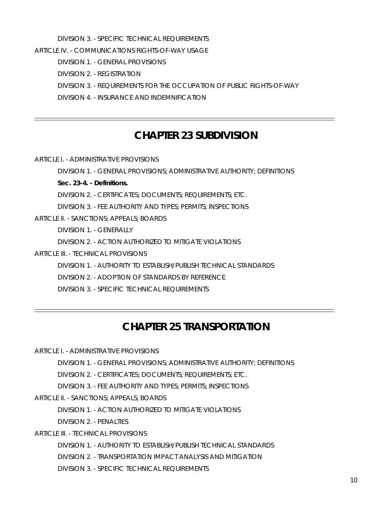DIVISION 3. - SPECIFIC TECHNICAL REQUIREMENTS

ARTICLE IV. - COMMUNICATIONS RIGHTS-OF-WAY USAGE

DIVISION 1. - GENERAL PROVISIONS

DIVISION 2. - REGISTRATION

DIVISION 3. - REQUIREMENTS FOR THE OCCUPATION OF PUBLIC RIGHTS-OF-WAY

DIVISION 4. - INSURANCE AND INDEMNIFICATION

### **CHAPTER 23 SUBDIVISION**

ARTICLE I. - ADMINISTRATIVE PROVISIONS

DIVISION 1. - GENERAL PROVISIONS; ADMINISTRATIVE AUTHORITY; DEFINITIONS **Sec. 23-4. - Definitions.**  DIVISION 2. - CERTIFICATES; DOCUMENTS; REQUIREMENTS; ETC. DIVISION 3. - FEE AUTHORITY AND TYPES; PERMITS; INSPECTIONS ARTICLE II. - SANCTIONS; APPEALS; BOARDS DIVISION 1. - GENERALLY DIVISION 2. - ACTION AUTHORIZED TO MITIGATE VIOLATIONS ARTICLE III. - TECHNICAL PROVISIONS DIVISION 1. - AUTHORITY TO ESTABLISH/PUBLISH TECHNICAL STANDARDS DIVISION 2. - ADOPTION OF STANDARDS BY REFERENCE

DIVISION 3. - SPECIFIC TECHNICAL REQUIREMENTS

## **CHAPTER 25 TRANSPORTATION**

ARTICLE I. - ADMINISTRATIVE PROVISIONS

DIVISION 1. - GENERAL PROVISIONS; ADMINISTRATIVE AUTHORITY; DEFINITIONS

DIVISION 2. - CERTIFICATES; DOCUMENTS; REQUIREMENTS; ETC.

DIVISION 3. - FEE AUTHORITY AND TYPES; PERMITS; INSPECTIONS

ARTICLE II. - SANCTIONS; APPEALS; BOARDS

DIVISION 1. - ACTION AUTHORIZED TO MITIGATE VIOLATIONS

DIVISION 2. - PENALTIES

ARTICLE III. - TECHNICAL PROVISIONS

DIVISION 1. - AUTHORITY TO ESTABLISH/PUBLISH TECHNICAL STANDARDS

DIVISION 2. - TRANSPORTATION IMPACT ANALYSIS AND MITIGATION

DIVISION 3. - SPECIFIC TECHNICAL REQUIREMENTS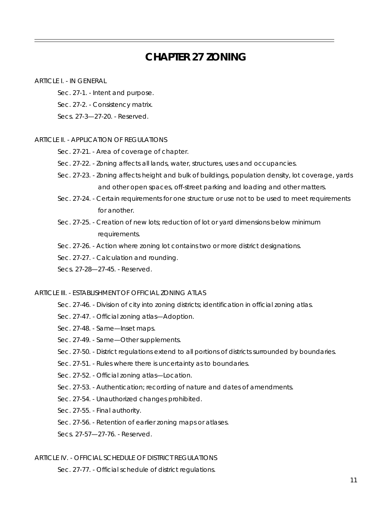### **CHAPTER 27 ZONING**

### ARTICLE I. - IN GENERAL

- Sec. 27-1. Intent and purpose.
- Sec. 27-2. Consistency matrix.

Secs. 27-3—27-20. - Reserved.

### ARTICLE II. - APPLICATION OF REGULATIONS

- Sec. 27-21. Area of coverage of chapter.
- Sec. 27-22. Zoning affects all lands, water, structures, uses and occupancies.
- Sec. 27-23. Zoning affects height and bulk of buildings, population density, lot coverage, yards and other open spaces, off-street parking and loading and other matters.
- Sec. 27-24. Certain requirements for one structure or use not to be used to meet requirements for another.
- Sec. 27-25. Creation of new lots; reduction of lot or yard dimensions below minimum requirements.
- Sec. 27-26. Action where zoning lot contains two or more district designations.
- Sec. 27-27. Calculation and rounding.
- Secs. 27-28—27-45. Reserved.

### ARTICLE III. - ESTABLISHMENT OF OFFICIAL ZONING ATLAS

- Sec. 27-46. Division of city into zoning districts; identification in official zoning atlas.
- Sec. 27-47. Official zoning atlas—Adoption.
- Sec. 27-48. Same—Inset maps.
- Sec. 27-49. Same—Other supplements.
- Sec. 27-50. District regulations extend to all portions of districts surrounded by boundaries.
- Sec. 27-51. Rules where there is uncertainty as to boundaries.
- Sec. 27-52. Official zoning atlas—Location.
- Sec. 27-53. Authentication; recording of nature and dates of amendments.
- Sec. 27-54. Unauthorized changes prohibited.
- Sec. 27-55. Final authority.
- Sec. 27-56. Retention of earlier zoning maps or atlases.
- Secs. 27-57—27-76. Reserved.

### ARTICLE IV. - OFFICIAL SCHEDULE OF DISTRICT REGULATIONS

Sec. 27-77. - Official schedule of district regulations.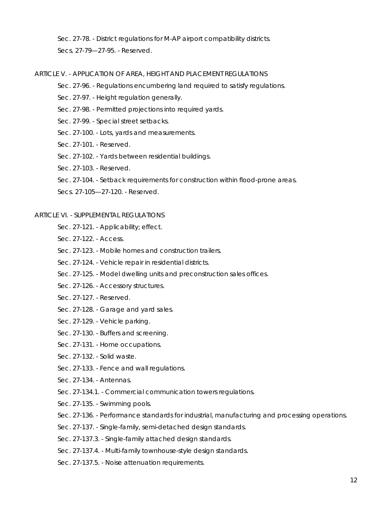Sec. 27-78. - District regulations for M-AP airport compatibility districts. Secs. 27-79—27-95. - Reserved.

### ARTICLE V. - APPLICATION OF AREA, HEIGHT AND PLACEMENT REGULATIONS

- Sec. 27-96. Regulations encumbering land required to satisfy regulations.
- Sec. 27-97. Height regulation generally.
- Sec. 27-98. Permitted projections into required yards.
- Sec. 27-99. Special street setbacks.
- Sec. 27-100. Lots, yards and measurements.
- Sec. 27-101. Reserved.
- Sec. 27-102. Yards between residential buildings.
- Sec. 27-103. Reserved.
- Sec. 27-104. Setback requirements for construction within flood-prone areas.
- Secs. 27-105—27-120. Reserved.

### ARTICLE VI. - SUPPLEMENTAL REGULATIONS

- Sec. 27-121. Applicability; effect.
- Sec. 27-122. Access.
- Sec. 27-123. Mobile homes and construction trailers.
- Sec. 27-124. Vehicle repair in residential districts.
- Sec. 27-125. Model dwelling units and preconstruction sales offices.
- Sec. 27-126. Accessory structures.
- Sec. 27-127. Reserved.
- Sec. 27-128. Garage and yard sales.
- Sec. 27-129. Vehicle parking.
- Sec. 27-130. Buffers and screening.
- Sec. 27-131. Home occupations.
- Sec. 27-132. Solid waste.
- Sec. 27-133. Fence and wall regulations.
- Sec. 27-134. Antennas.
- Sec. 27-134.1. Commercial communication towers regulations.
- Sec. 27-135. Swimming pools.
- Sec. 27-136. Performance standards for industrial, manufacturing and processing operations.
- Sec. 27-137. Single-family, semi-detached design standards.
- Sec. 27-137.3. Single-family attached design standards.
- Sec. 27-137.4. Multi-family townhouse-style design standards.
- Sec. 27-137.5. Noise attenuation requirements.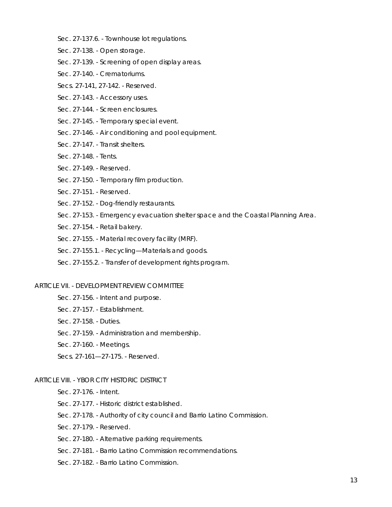- Sec. 27-137.6. Townhouse lot regulations.
- Sec. 27-138. Open storage.
- Sec. 27-139. Screening of open display areas.
- Sec. 27-140. Crematoriums.
- Secs. 27-141, 27-142. Reserved.
- Sec. 27-143. Accessory uses.
- Sec. 27-144. Screen enclosures.
- Sec. 27-145. Temporary special event.
- Sec. 27-146. Air conditioning and pool equipment.
- Sec. 27-147. Transit shelters.
- Sec. 27-148. Tents.
- Sec. 27-149. Reserved.
- Sec. 27-150. Temporary film production.
- Sec. 27-151. Reserved.
- Sec. 27-152. Dog-friendly restaurants.
- Sec. 27-153. Emergency evacuation shelter space and the Coastal Planning Area.
- Sec. 27-154. Retail bakery.
- Sec. 27-155. Material recovery facility (MRF).
- Sec. 27-155.1. Recycling—Materials and goods.
- Sec. 27-155.2. Transfer of development rights program.

### ARTICLE VII. - DEVELOPMENT REVIEW COMMITTEE

- Sec. 27-156. Intent and purpose.
- Sec. 27-157. Establishment.
- Sec. 27-158. Duties.
- Sec. 27-159. Administration and membership.
- Sec. 27-160. Meetings.
- Secs. 27-161—27-175. Reserved.

### ARTICLE VIII. - YBOR CITY HISTORIC DISTRICT

- Sec. 27-176. Intent.
- Sec. 27-177. Historic district established.
- Sec. 27-178. Authority of city council and Barrio Latino Commission.
- Sec. 27-179. Reserved.
- Sec. 27-180. Alternative parking requirements.
- Sec. 27-181. Barrio Latino Commission recommendations.
- Sec. 27-182. Barrio Latino Commission.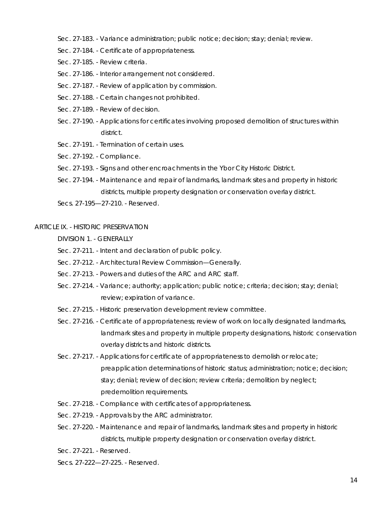- Sec. 27-183. Variance administration; public notice; decision; stay; denial; review.
- Sec. 27-184. Certificate of appropriateness.
- Sec. 27-185. Review criteria.
- Sec. 27-186. Interior arrangement not considered.
- Sec. 27-187. Review of application by commission.
- Sec. 27-188. Certain changes not prohibited.
- Sec. 27-189. Review of decision.
- Sec. 27-190. Applications for certificates involving proposed demolition of structures within district.
- Sec. 27-191. Termination of certain uses.
- Sec. 27-192. Compliance.
- Sec. 27-193. Signs and other encroachments in the Ybor City Historic District.
- Sec. 27-194. Maintenance and repair of landmarks, landmark sites and property in historic districts, multiple property designation or conservation overlay district.

Secs. 27-195—27-210. - Reserved.

### ARTICLE IX. - HISTORIC PRESERVATION

DIVISION 1. - GENERALLY

- Sec. 27-211. Intent and declaration of public policy.
- Sec. 27-212. Architectural Review Commission—Generally.
- Sec. 27-213. Powers and duties of the ARC and ARC staff.
- Sec. 27-214. Variance; authority; application; public notice; criteria; decision; stay; denial; review; expiration of variance.
- Sec. 27-215. Historic preservation development review committee.
- Sec. 27-216. Certificate of appropriateness; review of work on locally designated landmarks, landmark sites and property in multiple property designations, historic conservation overlay districts and historic districts.
- Sec. 27-217. Applications for certificate of appropriateness to demolish or relocate; preapplication determinations of historic status; administration; notice; decision; stay; denial; review of decision; review criteria; demolition by neglect; predemolition requirements.
- Sec. 27-218. Compliance with certificates of appropriateness.
- Sec. 27-219. Approvals by the ARC administrator.
- Sec. 27-220. Maintenance and repair of landmarks, landmark sites and property in historic districts, multiple property designation or conservation overlay district.
- Sec. 27-221. Reserved.
- Secs. 27-222—27-225. Reserved.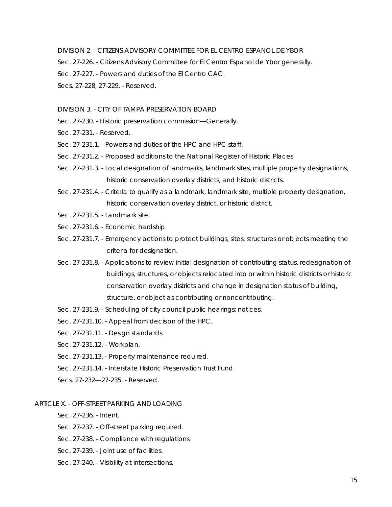DIVISION 2. - CITIZENS ADVISORY COMMITTEE FOR EL CENTRO ESPANOL DE YBOR

Sec. 27-226. - Citizens Advisory Committee for El Centro Espanol de Ybor generally.

Sec. 27-227. - Powers and duties of the El Centro CAC.

Secs. 27-228, 27-229. - Reserved.

### DIVISION 3. - CITY OF TAMPA PRESERVATION BOARD

- Sec. 27-230. Historic preservation commission—Generally.
- Sec. 27-231. Reserved.
- Sec. 27-231.1. Powers and duties of the HPC and HPC staff.
- Sec. 27-231.2. Proposed additions to the National Register of Historic Places.
- Sec. 27-231.3. Local designation of landmarks, landmark sites, multiple property designations, historic conservation overlay districts, and historic districts.
- Sec. 27-231.4. Criteria to qualify as a landmark, landmark site, multiple property designation, historic conservation overlay district, or historic district.
- Sec. 27-231.5. Landmark site.
- Sec. 27-231.6. Economic hardship.
- Sec. 27-231.7. Emergency actions to protect buildings, sites, structures or objects meeting the criteria for designation.
- Sec. 27-231.8. Applications to review initial designation of contributing status, redesignation of buildings, structures, or objects relocated into or within historic districts or historic conservation overlay districts and change in designation status of building, structure, or object as contributing or noncontributing.
- Sec. 27-231.9. Scheduling of city council public hearings; notices.
- Sec. 27-231.10. Appeal from decision of the HPC.
- Sec. 27-231.11. Design standards.
- Sec. 27-231.12. Workplan.
- Sec. 27-231.13. Property maintenance required.
- Sec. 27-231.14. Interstate Historic Preservation Trust Fund.
- Secs. 27-232—27-235. Reserved.

### ARTICLE X. - OFF-STREET PARKING AND LOADING

- Sec. 27-236. Intent.
- Sec. 27-237. Off-street parking required.
- Sec. 27-238. Compliance with regulations.
- Sec. 27-239. Joint use of facilities.
- Sec. 27-240. Visibility at intersections.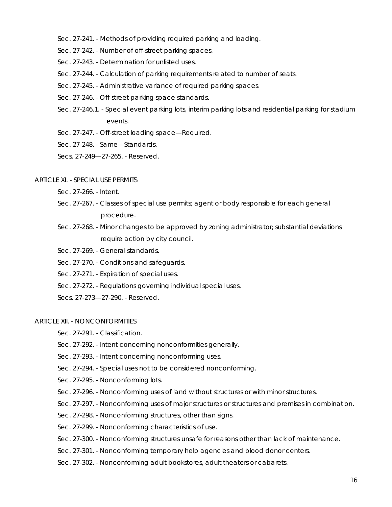- Sec. 27-241. Methods of providing required parking and loading.
- Sec. 27-242. Number of off-street parking spaces.
- Sec. 27-243. Determination for unlisted uses.
- Sec. 27-244. Calculation of parking requirements related to number of seats.
- Sec. 27-245. Administrative variance of required parking spaces.
- Sec. 27-246. Off-street parking space standards.
- Sec. 27-246.1. Special event parking lots, interim parking lots and residential parking for stadium events.
- Sec. 27-247. Off-street loading space—Required.
- Sec. 27-248. Same—Standards.
- Secs. 27-249—27-265. Reserved.

### ARTICLE XI. - SPECIAL USE PERMITS

- Sec. 27-266. Intent.
- Sec. 27-267. Classes of special use permits; agent or body responsible for each general procedure.
- Sec. 27-268. Minor changes to be approved by zoning administrator; substantial deviations require action by city council.
- Sec. 27-269. General standards.
- Sec. 27-270. Conditions and safeguards.
- Sec. 27-271. Expiration of special uses.
- Sec. 27-272. Regulations governing individual special uses.
- Secs. 27-273—27-290. Reserved.

### ARTICLE XII. - NONCONFORMITIES

- Sec. 27-291. Classification.
- Sec. 27-292. Intent concerning nonconformities generally.
- Sec. 27-293. Intent concerning nonconforming uses.
- Sec. 27-294. Special uses not to be considered nonconforming.
- Sec. 27-295. Nonconforming lots.
- Sec. 27-296. Nonconforming uses of land without structures or with minor structures.
- Sec. 27-297. Nonconforming uses of major structures or structures and premises in combination.
- Sec. 27-298. Nonconforming structures, other than signs.
- Sec. 27-299. Nonconforming characteristics of use.
- Sec. 27-300. Nonconforming structures unsafe for reasons other than lack of maintenance.
- Sec. 27-301. Nonconforming temporary help agencies and blood donor centers.
- Sec. 27-302. Nonconforming adult bookstores, adult theaters or cabarets.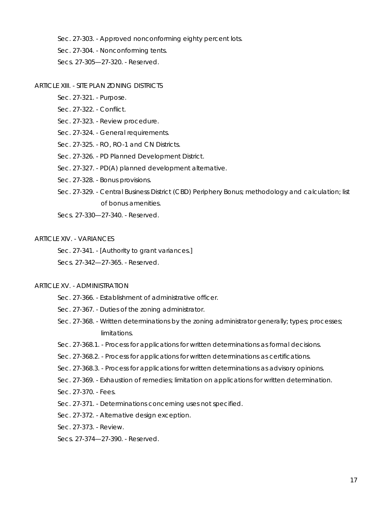Sec. 27-303. - Approved nonconforming eighty percent lots.

Sec. 27-304. - Nonconforming tents.

Secs. 27-305—27-320. - Reserved.

### ARTICLE XIII. - SITE PLAN ZONING DISTRICTS

- Sec. 27-321. Purpose.
- Sec. 27-322. Conflict.
- Sec. 27-323. Review procedure.
- Sec. 27-324. General requirements.
- Sec. 27-325. RO, RO-1 and CN Districts.
- Sec. 27-326. PD Planned Development District.
- Sec. 27-327. PD(A) planned development alternative.
- Sec. 27-328. Bonus provisions.
- Sec. 27-329. Central Business District (CBD) Periphery Bonus; methodology and calculation; list of bonus amenities.
- Secs. 27-330—27-340. Reserved.

#### ARTICLE XIV. - VARIANCES

Sec. 27-341. - [Authority to grant variances.]

Secs. 27-342—27-365. - Reserved.

### ARTICLE XV. - ADMINISTRATION

- Sec. 27-366. Establishment of administrative officer.
- Sec. 27-367. Duties of the zoning administrator.
- Sec. 27-368. Written determinations by the zoning administrator generally; types; processes; limitations.
- Sec. 27-368.1. Process for applications for written determinations as formal decisions.
- Sec. 27-368.2. Process for applications for written determinations as certifications.
- Sec. 27-368.3. Process for applications for written determinations as advisory opinions.
- Sec. 27-369. Exhaustion of remedies; limitation on applications for written determination.
- Sec. 27-370. Fees.
- Sec. 27-371. Determinations concerning uses not specified.
- Sec. 27-372. Alternative design exception.
- Sec. 27-373. Review.
- Secs. 27-374—27-390. Reserved.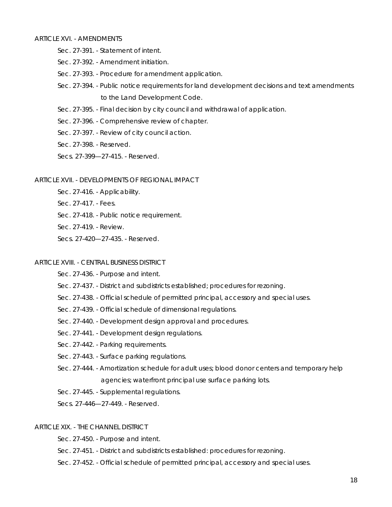### ARTICLE XVI. - AMENDMENTS

- Sec. 27-391. Statement of intent.
- Sec. 27-392. Amendment initiation.
- Sec. 27-393. Procedure for amendment application.
- Sec. 27-394. Public notice requirements for land development decisions and text amendments to the Land Development Code.
- Sec. 27-395. Final decision by city council and withdrawal of application.
- Sec. 27-396. Comprehensive review of chapter.
- Sec. 27-397. Review of city council action.
- Sec. 27-398. Reserved.
- Secs. 27-399—27-415. Reserved.

### ARTICLE XVII. - DEVELOPMENTS OF REGIONAL IMPACT

- Sec. 27-416. Applicability.
- Sec. 27-417. Fees.
- Sec. 27-418. Public notice requirement.
- Sec. 27-419. Review.
- Secs. 27-420—27-435. Reserved.

### ARTICLE XVIII. - CENTRAL BUSINESS DISTRICT

- Sec. 27-436. Purpose and intent.
- Sec. 27-437. District and subdistricts established; procedures for rezoning.
- Sec. 27-438. Official schedule of permitted principal, accessory and special uses.
- Sec. 27-439. Official schedule of dimensional regulations.
- Sec. 27-440. Development design approval and procedures.
- Sec. 27-441. Development design regulations.
- Sec. 27-442. Parking requirements.
- Sec. 27-443. Surface parking regulations.
- Sec. 27-444. Amortization schedule for adult uses; blood donor centers and temporary help agencies; waterfront principal use surface parking lots.
- Sec. 27-445. Supplemental regulations.

Secs. 27-446—27-449. - Reserved.

### ARTICLE XIX. - THE CHANNEL DISTRICT

Sec. 27-450. - Purpose and intent.

- Sec. 27-451. District and subdistricts established: procedures for rezoning.
- Sec. 27-452. Official schedule of permitted principal, accessory and special uses.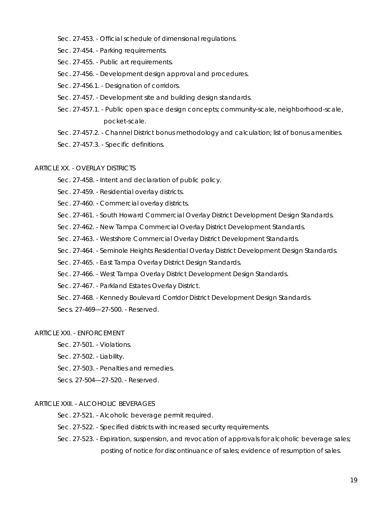- Sec. 27-453. Official schedule of dimensional regulations.
- Sec. 27-454. Parking requirements.
- Sec. 27-455. Public art requirements.
- Sec. 27-456. Development design approval and procedures.
- Sec. 27-456.1. Designation of corridors.
- Sec. 27-457. Development site and building design standards.
- Sec. 27-457.1. Public open space design concepts; community-scale, neighborhood-scale, pocket-scale.
- Sec. 27-457.2. Channel District bonus methodology and calculation; list of bonus amenities.
- Sec. 27-457.3. Specific definitions.

### ARTICLE XX. - OVERLAY DISTRICTS

- Sec. 27-458. Intent and declaration of public policy.
- Sec. 27-459. Residential overlay districts.
- Sec. 27-460. Commercial overlay districts.
- Sec. 27-461. South Howard Commercial Overlay District Development Design Standards.
- Sec. 27-462. New Tampa Commercial Overlay District Development Standards.
- Sec. 27-463. Westshore Commercial Overlay District Development Standards.
- Sec. 27-464. Seminole Heights Residential Overlay District Development Design Standards.
- Sec. 27-465. East Tampa Overlay District Design Standards.
- Sec. 27-466. West Tampa Overlay District Development Design Standards.
- Sec. 27-467. Parkland Estates Overlay District.
- Sec. 27-468. Kennedy Boulevard Corridor District Development Design Standards.

Secs. 27-469—27-500. - Reserved.

#### ARTICLE XXI. - ENFORCEMENT

- Sec. 27-501. Violations.
- Sec. 27-502. Liability.
- Sec. 27-503. Penalties and remedies.
- Secs. 27-504—27-520. Reserved.

### ARTICLE XXII. - ALCOHOLIC BEVERAGES

- Sec. 27-521. Alcoholic beverage permit required.
- Sec. 27-522. Specified districts with increased security requirements.
- Sec. 27-523. Expiration, suspension, and revocation of approvals for alcoholic beverage sales; posting of notice for discontinuance of sales; evidence of resumption of sales.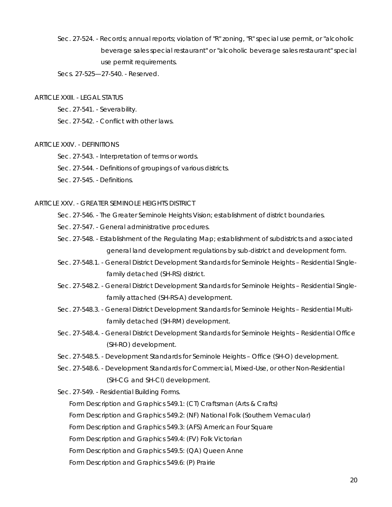Sec. 27-524. - Records; annual reports; violation of "R" zoning, "R" special use permit, or "alcoholic beverage sales special restaurant" or "alcoholic beverage sales restaurant" special use permit requirements.

Secs. 27-525—27-540. - Reserved.

#### ARTICLE XXIII. - LEGAL STATUS

Sec. 27-541. - Severability.

Sec. 27-542. - Conflict with other laws.

### ARTICLE XXIV. - DEFINITIONS

- Sec. 27-543. Interpretation of terms or words.
- Sec. 27-544. Definitions of groupings of various districts.
- Sec. 27-545. Definitions.

### ARTICLE XXV. - GREATER SEMINOLE HEIGHTS DISTRICT

- Sec. 27-546. The Greater Seminole Heights Vision; establishment of district boundaries.
- Sec. 27-547. General administrative procedures.
- Sec. 27-548. Establishment of the Regulating Map; establishment of subdistricts and associated general land development regulations by sub-district and development form.
- Sec. 27-548.1. General District Development Standards for Seminole Heights Residential Singlefamily detached (SH-RS) district.
- Sec. 27-548.2. General District Development Standards for Seminole Heights Residential Singlefamily attached (SH-RS-A) development.
- Sec. 27-548.3. General District Development Standards for Seminole Heights Residential Multifamily detached (SH-RM) development.
- Sec. 27-548.4. General District Development Standards for Seminole Heights Residential Office (SH-RO) development.
- Sec. 27-548.5. Development Standards for Seminole Heights Office (SH-O) development.
- Sec. 27-548.6. Development Standards for Commercial, Mixed-Use, or other Non-Residential (SH-CG and SH-CI) development.
- Sec. 27-549. Residential Building Forms.

Form Description and Graphics 549.1: (CT) Craftsman (Arts & Crafts)

Form Description and Graphics 549.2: (NF) National Folk (Southern Vernacular)

Form Description and Graphics 549.3: (AFS) American Four Square

Form Description and Graphics 549.4: (FV) Folk Victorian

Form Description and Graphics 549.5: (QA) Queen Anne

Form Description and Graphics 549.6: (P) Prairie